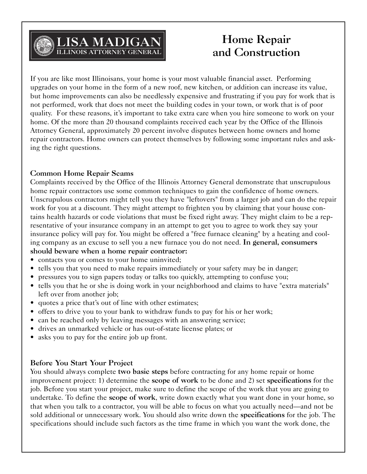

If you are like most Illinoisans, your home is your most valuable financial asset. Performing upgrades on your home in the form of a new roof, new kitchen, or addition can increase its value, but home improvements can also be needlessly expensive and frustrating if you pay for work that is not performed, work that does not meet the building codes in your town, or work that is of poor quality. For these reasons, it's important to take extra care when you hire someone to work on your home. Of the more than 20 thousand complaints received each year by the Office of the Illinois Attorney General, approximately 20 percent involve disputes between home owners and home repair contractors. Home owners can protect themselves by following some important rules and asking the right questions.

#### **Common Home Repair Scams**

Complaints received by the Office of the Illinois Attorney General demonstrate that unscrupulous home repair contractors use some common techniques to gain the confidence of home owners. Unscrupulous contractors might tell you they have "leftovers" from a larger job and can do the repair work for you at a discount. They might attempt to frighten you by claiming that your house contains health hazards or code violations that must be fixed right away. They might claim to be a representative of your insurance company in an attempt to get you to agree to work they say your insurance policy will pay for. You might be offered a "free furnace cleaning" by a heating and cooling company as an excuse to sell you a new furnace you do not need. **In general, consumers**

# **should beware when a home repair contractor:**

- contacts you or comes to your home uninvited;
- tells you that you need to make repairs immediately or your safety may be in danger;
- pressures you to sign papers today or talks too quickly, attempting to confuse you;
- tells you that he or she is doing work in your neighborhood and claims to have "extra materials" left over from another job;
- quotes a price that's out of line with other estimates;
- offers to drive you to your bank to withdraw funds to pay for his or her work;
- can be reached only by leaving messages with an answering service;
- drives an unmarked vehicle or has out-of-state license plates; or
- asks you to pay for the entire job up front.

## **Before You Start Your Project**

You should always complete **two basic steps** before contracting for any home repair or home improvement project: 1) determine the **scope of work** to be done and 2) set **specifications** for the job. Before you start your project, make sure to define the scope of the work that you are going to undertake. To define the **scope of work**, write down exactly what you want done in your home, so that when you talk to a contractor, you will be able to focus on what you actually need—and not be sold additional or unnecessary work. You should also write down the **specifications** for the job. The specifications should include such factors as the time frame in which you want the work done, the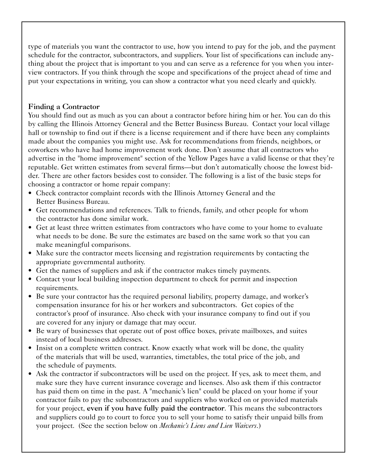type of materials you want the contractor to use, how you intend to pay for the job, and the payment schedule for the contractor, subcontractors, and suppliers. Your list of specifications can include anything about the project that is important to you and can serve as a reference for you when you interview contractors. If you think through the scope and specifications of the project ahead of time and put your expectations in writing, you can show a contractor what you need clearly and quickly.

## **Finding a Contractor**

You should find out as much as you can about a contractor before hiring him or her. You can do this by calling the Illinois Attorney General and the Better Business Bureau. Contact your local village hall or township to find out if there is a license requirement and if there have been any complaints made about the companies you might use. Ask for recommendations from friends, neighbors, or coworkers who have had home improvement work done. Don't assume that all contractors who advertise in the "home improvement" section of the Yellow Pages have a valid license or that they're reputable. Get written estimates from several firms—but don't automatically choose the lowest bidder. There are other factors besides cost to consider. The following is a list of the basic steps for choosing a contractor or home repair company:

- Check contractor complaint records with the Illinois Attorney General and the Better Business Bureau.
- Get recommendations and references. Talk to friends, family, and other people for whom the contractor has done similar work.
- Get at least three written estimates from contractors who have come to your home to evaluate what needs to be done. Be sure the estimates are based on the same work so that you can make meaningful comparisons.
- Make sure the contractor meets licensing and registration requirements by contacting the appropriate governmental authority.
- Get the names of suppliers and ask if the contractor makes timely payments.
- Contact your local building inspection department to check for permit and inspection requirements.
- Be sure your contractor has the required personal liability, property damage, and worker's compensation insurance for his or her workers and subcontractors. Get copies of the contractor's proof of insurance. Also check with your insurance company to find out if you are covered for any injury or damage that may occur.
- Be wary of businesses that operate out of post office boxes, private mailboxes, and suites instead of local business addresses.
- Insist on a complete written contract. Know exactly what work will be done, the quality of the materials that will be used, warranties, timetables, the total price of the job, and the schedule of payments.
- Ask the contractor if subcontractors will be used on the project. If yes, ask to meet them, and make sure they have current insurance coverage and licenses. Also ask them if this contractor has paid them on time in the past. A "mechanic's lien" could be placed on your home if your contractor fails to pay the subcontractors and suppliers who worked on or provided materials for your project, **even if you have fully paid the contractor**. This means the subcontractors and suppliers could go to court to force you to sell your home to satisfy their unpaid bills from your project. (See the section below on *Mechanic's Liens and Lien Waivers*.)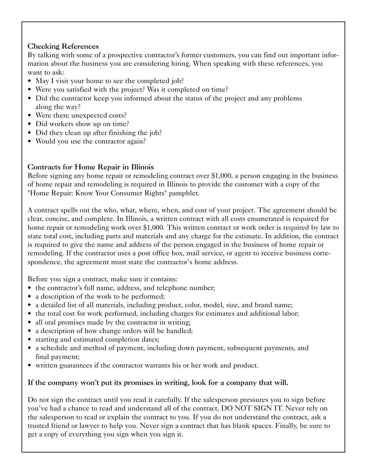# **Checking References**

By talking with some of a prospective contractor's former customers, you can find out important information about the business you are considering hiring. When speaking with these references, you want to ask:

- May I visit your home to see the completed job?
- Were you satisfied with the project? Was it completed on time?
- Did the contractor keep you informed about the status of the project and any problems along the way?
- Were there unexpected costs?
- Did workers show up on time?
- Did they clean up after finishing the job?
- Would you use the contractor again?

# **Contracts for Home Repair in Illinois**

Before signing any home repair or remodeling contract over \$1,000, a person engaging in the business of home repair and remodeling is required in Illinois to provide the customer with a copy of the "Home Repair: Know Your Consumer Rights" pamphlet.

A contract spells out the who, what, where, when, and cost of your project. The agreement should be clear, concise, and complete. In Illinois, a written contract with all costs enumerated is required for home repair or remodeling work over \$1,000. This written contract or work order is required by law to state total cost, including parts and materials and any charge for the estimate. In addition, the contract is required to give the name and address of the person engaged in the business of home repair or remodeling. If the contractor uses a post office box, mail service, or agent to receive business correspondence, the agreement must state the contractor's home address.

Before you sign a contract, make sure it contains:

- the contractor's full name, address, and telephone number;
- a description of the work to be performed;
- a detailed list of all materials, including product, color, model, size, and brand name;
- the total cost for work performed, including charges for estimates and additional labor;
- all oral promises made by the contractor in writing;
- a description of how change orders will be handled;
- starting and estimated completion dates;
- a schedule and method of payment, including down payment, subsequent payments, and final payment;
- written guarantees if the contractor warrants his or her work and product.

# **If the company won't put its promises in writing, look for a company that will.**

Do not sign the contract until you read it carefully. If the salesperson pressures you to sign before you've had a chance to read and understand all of the contract, DO NOT SIGN IT. Never rely on the salesperson to read or explain the contract to you. If you do not understand the contract, ask a trusted friend or lawyer to help you. Never sign a contract that has blank spaces. Finally, be sure to get a copy of everything you sign when you sign it.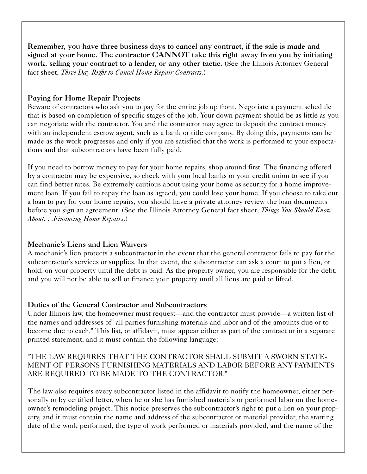**Remember, you have three business days to cancel any contract, if the sale is made and signed at your home. The contractor CANNOT take this right away from you by initiating work, selling your contract to a lender, or any other tactic.** (See the Illinois Attorney General fact sheet, *Three Day Right to Cancel Home Repair Contracts*.)

# **Paying for Home Repair Projects**

Beware of contractors who ask you to pay for the entire job up front. Negotiate a payment schedule that is based on completion of specific stages of the job. Your down payment should be as little as you can negotiate with the contractor. You and the contractor may agree to deposit the contract money with an independent escrow agent, such as a bank or title company. By doing this, payments can be made as the work progresses and only if you are satisfied that the work is performed to your expectations and that subcontractors have been fully paid.

If you need to borrow money to pay for your home repairs, shop around first. The financing offered by a contractor may be expensive, so check with your local banks or your credit union to see if you can find better rates. Be extremely cautious about using your home as security for a home improvement loan. If you fail to repay the loan as agreed, you could lose your home. If you choose to take out a loan to pay for your home repairs, you should have a private attorney review the loan documents before you sign an agreement. (See the Illinois Attorney General fact sheet, *Things You Should Know About. . .Financing Home Repairs*.)

# **Mechanic's Liens and Lien Waivers**

A mechanic's lien protects a subcontractor in the event that the general contractor fails to pay for the subcontractor's services or supplies. In that event, the subcontractor can ask a court to put a lien, or hold, on your property until the debt is paid. As the property owner, you are responsible for the debt, and you will not be able to sell or finance your property until all liens are paid or lifted.

## **Duties of the General Contractor and Subcontractors**

Under Illinois law, the homeowner must request—and the contractor must provide—a written list of the names and addresses of "all parties furnishing materials and labor and of the amounts due or to become due to each." This list, or affidavit, must appear either as part of the contract or in a separate printed statement, and it must contain the following language:

## "THE LAW REQUIRES THAT THE CONTRACTOR SHALL SUBMIT A SWORN STATE-MENT OF PERSONS FURNISHING MATERIALS AND LABOR BEFORE ANY PAYMENTS ARE REQUIRED TO BE MADE TO THE CONTRACTOR."

The law also requires every subcontractor listed in the affidavit to notify the homeowner, either personally or by certified letter, when he or she has furnished materials or performed labor on the homeowner's remodeling project. This notice preserves the subcontractor's right to put a lien on your property, and it must contain the name and address of the subcontractor or material provider, the starting date of the work performed, the type of work performed or materials provided, and the name of the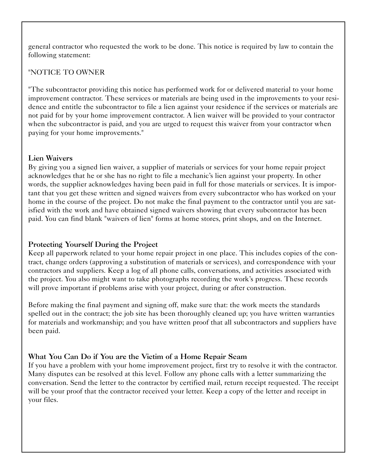general contractor who requested the work to be done. This notice is required by law to contain the following statement:

## "NOTICE TO OWNER

"The subcontractor providing this notice has performed work for or delivered material to your home improvement contractor. These services or materials are being used in the improvements to your residence and entitle the subcontractor to file a lien against your residence if the services or materials are not paid for by your home improvement contractor. A lien waiver will be provided to your contractor when the subcontractor is paid, and you are urged to request this waiver from your contractor when paying for your home improvements."

#### **Lien Waivers**

By giving you a signed lien waiver, a supplier of materials or services for your home repair project acknowledges that he or she has no right to file a mechanic's lien against your property. In other words, the supplier acknowledges having been paid in full for those materials or services. It is important that you get these written and signed waivers from every subcontractor who has worked on your home in the course of the project. Do not make the final payment to the contractor until you are satisfied with the work and have obtained signed waivers showing that every subcontractor has been paid. You can find blank "waivers of lien" forms at home stores, print shops, and on the Internet.

## **Protecting Yourself During the Project**

Keep all paperwork related to your home repair project in one place. This includes copies of the contract, change orders (approving a substitution of materials or services), and correspondence with your contractors and suppliers. Keep a log of all phone calls, conversations, and activities associated with the project. You also might want to take photographs recording the work's progress. These records will prove important if problems arise with your project, during or after construction.

Before making the final payment and signing off, make sure that: the work meets the standards spelled out in the contract; the job site has been thoroughly cleaned up; you have written warranties for materials and workmanship; and you have written proof that all subcontractors and suppliers have been paid.

# **What You Can Do if You are the Victim of a Home Repair Scam**

If you have a problem with your home improvement project, first try to resolve it with the contractor. Many disputes can be resolved at this level. Follow any phone calls with a letter summarizing the conversation. Send the letter to the contractor by certified mail, return receipt requested. The receipt will be your proof that the contractor received your letter. Keep a copy of the letter and receipt in your files.